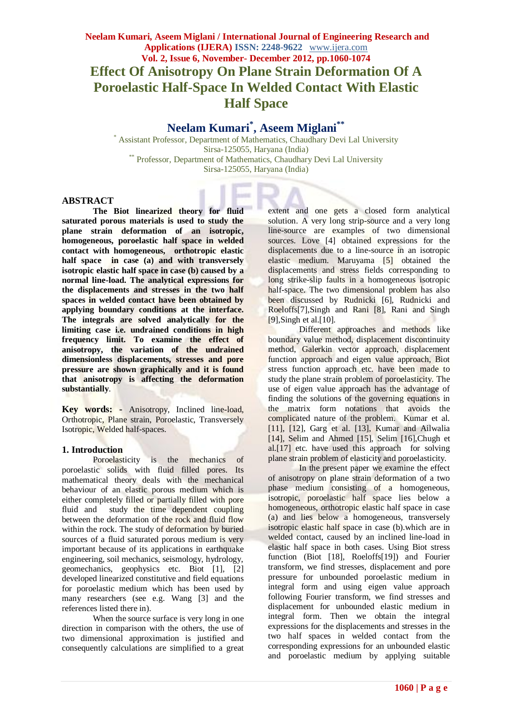# **Neelam Kumari, Aseem Miglani / International Journal of Engineering Research and Applications (IJERA) ISSN: 2248-9622** www.ijera.com **Vol. 2, Issue 6, November- December 2012, pp.1060-1074 Effect Of Anisotropy On Plane Strain Deformation Of A Poroelastic Half-Space In Welded Contact With Elastic Half Space**

# **Neelam Kumari\* , Aseem Miglani\*\***

\* Assistant Professor, Department of Mathematics, Chaudhary Devi Lal University Sirsa-125055, Haryana (India) \*\* Professor, Department of Mathematics, Chaudhary Devi Lal University Sirsa-125055, Haryana (India)

### **ABSTRACT**

**The Biot linearized theory for fluid saturated porous materials is used to study the plane strain deformation of an isotropic, homogeneous, poroelastic half space in welded contact with homogeneous, orthotropic elastic half space in case (a) and with transversely isotropic elastic half space in case (b) caused by a normal line-load. The analytical expressions for the displacements and stresses in the two half spaces in welded contact have been obtained by applying boundary conditions at the interface. The integrals are solved analytically for the limiting case i.e. undrained conditions in high frequency limit. To examine the effect of anisotropy, the variation of the undrained dimensionless displacements, stresses and pore pressure are shown graphically and it is found that anisotropy is affecting the deformation substantially**.

**Key words: -** Anisotropy, Inclined line-load, Orthotropic, Plane strain, Poroelastic, Transversely Isotropic, Welded half-spaces.

### **1. Introduction**

Poroelasticity is the mechanics of poroelastic solids with fluid filled pores. Its mathematical theory deals with the mechanical behaviour of an elastic porous medium which is either completely filled or partially filled with pore fluid and study the time dependent coupling between the deformation of the rock and fluid flow within the rock. The study of deformation by buried sources of a fluid saturated porous medium is very important because of its applications in earthquake engineering, soil mechanics, seismology, hydrology, geomechanics, geophysics etc. Biot [1], [2] developed linearized constitutive and field equations for poroelastic medium which has been used by many researchers (see e.g. Wang [3] and the references listed there in).

When the source surface is very long in one direction in comparison with the others, the use of two dimensional approximation is justified and consequently calculations are simplified to a great extent and one gets a closed form analytical solution. A very long strip-source and a very long line-source are examples of two dimensional sources. Love [4] obtained expressions for the displacements due to a line-source in an isotropic elastic medium. Maruyama [5] obtained the displacements and stress fields corresponding to long strike-slip faults in a homogeneous isotropic half-space. The two dimensional problem has also been discussed by Rudnicki [6], Rudnicki and Roeloffs[7],Singh and Rani [8], Rani and Singh [9],Singh et al.[10].

Different approaches and methods like boundary value method, displacement discontinuity method, Galerkin vector approach, displacement function approach and eigen value approach, Biot stress function approach etc. have been made to study the plane strain problem of poroelasticity. The use of eigen value approach has the advantage of finding the solutions of the governing equations in the matrix form notations that avoids the complicated nature of the problem. Kumar et al. [11], [12], Garg et al. [13], Kumar and Ailwalia [14], Selim and Ahmed [15], Selim [16],Chugh et al.[17] etc. have used this approach for solving plane strain problem of elasticity and poroelasticity.

In the present paper we examine the effect of anisotropy on plane strain deformation of a two phase medium consisting of a homogeneous, isotropic, poroelastic half space lies below a homogeneous, orthotropic elastic half space in case (a) and lies below a homogeneous, transversely isotropic elastic half space in case (b).which are in welded contact, caused by an inclined line-load in elastic half space in both cases. Using Biot stress function (Biot [18], Roeloffs[19]) and Fourier transform, we find stresses, displacement and pore pressure for unbounded poroelastic medium in integral form and using eigen value approach following Fourier transform, we find stresses and displacement for unbounded elastic medium in integral form. Then we obtain the integral expressions for the displacements and stresses in the two half spaces in welded contact from the corresponding expressions for an unbounded elastic and poroelastic medium by applying suitable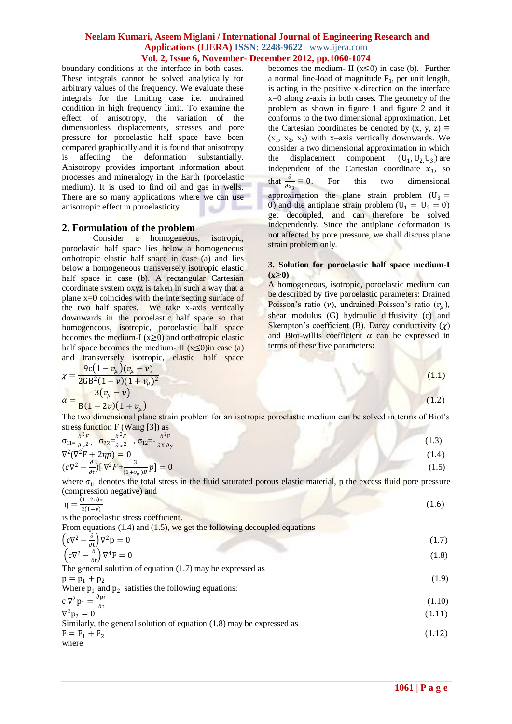boundary conditions at the interface in both cases. These integrals cannot be solved analytically for arbitrary values of the frequency. We evaluate these integrals for the limiting case i.e. undrained condition in high frequency limit. To examine the effect of anisotropy, the variation of the dimensionless displacements, stresses and pore pressure for poroelastic half space have been compared graphically and it is found that anisotropy is affecting the deformation substantially. Anisotropy provides important information about processes and mineralogy in the Earth (poroelastic medium). It is used to find oil and gas in wells. There are so many applications where we can use anisotropic effect in poroelasticity.

### **2. Formulation of the problem**

Consider a homogeneous, isotropic, poroelastic half space lies below a homogeneous orthotropic elastic half space in case (a) and lies below a homogeneous transversely isotropic elastic half space in case (b). A rectangular Cartesian coordinate system oxyz is taken in such a way that a plane  $x=0$  coincides with the intersecting surface of the two half spaces. We take x-axis vertically downwards in the poroelastic half space so that homogeneous, isotropic, poroelastic half space becomes the medium-I  $(x\geq 0)$  and orthotropic elastic half space becomes the medium-  $\mathbf{I}$  (x<0)in case (a) and transversely isotropic, elastic half space becomes the medium- II  $(x \le 0)$  in case (b). Further a normal line-load of magnitude F**1**, per unit length, is acting in the positive x-direction on the interface x=0 along z-axis in both cases. The geometry of the problem as shown in figure 1 and figure 2 and it conforms to the two dimensional approximation. Let the Cartesian coordinates be denoted by  $(x, y, z) \equiv$  $(x_1, x_2, x_3)$  with x–axis vertically downwards. We consider a two dimensional approximation in which the displacement component  $(U_1, U_2, U_3)$  are independent of the Cartesian coordinate  $x_3$ , so that  $\frac{\partial}{\partial x_3}$ For this two dimensional approximation the plane strain problem  $(U_3 =$ 0) and the antiplane strain problem  $(U_1 = U_2 = 0)$ get decoupled, and can therefore be solved independently. Since the antiplane deformation is not affected by pore pressure, we shall discuss plane strain problem only.

### **3. Solution for poroelastic half space medium-I (x**≥**0)**

A homogeneous, isotropic, poroelastic medium can be described by five poroelastic parameters: Drained Poisson's ratio (v), undrained Poisson's ratio  $(v_\mu)$ , shear modulus (G) hydraulic diffusivity (c) and Skempton's coefficient (B). Darcy conductivity  $(y)$ and Biot-willis coefficient  $\alpha$  can be expressed in terms of these five parameters**:**

$$
\chi = \frac{9c(1 - v_{\mu})(v_{\mu} - v)}{2GB^{2}(1 - v)(1 + v_{\mu})^{2}}
$$
\n
$$
\alpha = \frac{3(v_{\mu} - v)}{B(1 - 2v)(1 + v_{\mu})}
$$
\nThe two dimensional plane strain problem for an isotropic porelastic medium can be solved in terms of Biot's stress function F (Wang [3]) as  
\n
$$
\sigma_{11} = \frac{\partial^{2}F}{\partial y^{2}}, \quad \sigma_{22} = \frac{\partial^{2}F}{\partial x^{2}}, \quad \sigma_{12} = -\frac{\partial^{2}F}{\partial x \partial y}
$$
\n
$$
\nabla^{2}(\nabla^{2}F + 2\eta p) = 0
$$
\n
$$
(\mathbf{c}\nabla^{2} - \frac{\partial}{\partial x})[\nabla^{2}F + \frac{3}{(1 + v_{\mu})^{B}}p] = 0
$$
\nwhere  $\sigma_{ij}$  denotes the total stress in the fluid saturated porous elastic material, p the excess fluid pore pressure (compression negative) and  
\n
$$
\eta = \frac{(1 - 2v)\mathbf{u}}{2(1 - v)}
$$
\n
$$
(\mathbf{c}\nabla^{2} - \frac{\partial}{\partial x})\nabla^{2}p = 0
$$
\n
$$
(\mathbf{c}\nabla^{2} - \frac{\partial}{\partial x})\nabla^{2}p = 0
$$
\n
$$
(\mathbf{c}\nabla^{2} - \frac{\partial}{\partial x})\nabla^{2}p = 0
$$
\n
$$
(\mathbf{c}\nabla^{2} - \frac{\partial}{\partial y})\nabla^{2}p = 0
$$
\n
$$
(\mathbf{c}\nabla^{2} - \frac{\partial}{\partial y})\nabla^{2}p = 0
$$
\n
$$
(\mathbf{c}\nabla^{2} - \frac{\partial}{\partial y})\nabla^{2}p = 0
$$
\n
$$
(\mathbf{c}\nabla^{2} - \frac{\partial}{\partial y})\nabla^{2}p = 0
$$
\n
$$
(\mathbf{c}\nabla^{2} - \frac{\partial}{\partial y})\nabla^{2}p = 0
$$
\n
$$
(\mathbf{c}\nabla^{2} - \frac{\partial}{\partial y})\nabla^{2}p = 0
$$
\n
$$
(\math
$$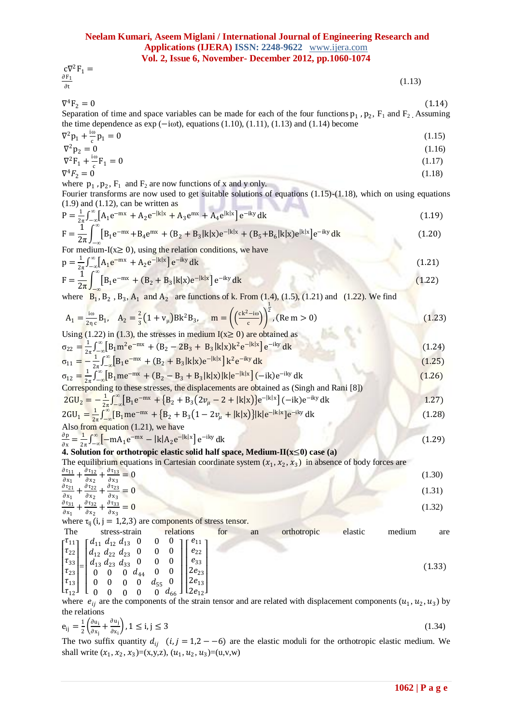$$
c\nabla^2 F_1 = \frac{\partial F_1}{\partial t} \tag{1.13}
$$

 $\nabla^4 F_2 = 0$ 

I

 ${}^{4}F_{2} = 0$  (1.14) Separation of time and space variables can be made for each of the four functions  $p_1$ ,  $p_2$ ,  $F_1$  and  $F_2$ . Assuming the time dependence as  $exp(-i\omega t)$ , equations (1.10), (1.11), (1.13) and (1.14) become

$$
\nabla^2 p_1 + \frac{i\omega}{c} p_1 = 0 \tag{1.15}
$$
\n
$$
\nabla^2 p_2 = 0 \tag{1.16}
$$

$$
\nabla^2 \mathbf{F}_1 + \frac{\mathbf{i}\omega}{c} \mathbf{F}_1 = 0 \tag{1.17}
$$
\n
$$
\nabla^4 \mathbf{F}_2 = 0 \tag{1.18}
$$

where 
$$
p_1
$$
,  $p_2$ ,  $F_1$  and  $F_2$  are now functions of x and y only.

Fourier transforms are now used to get suitable solutions of equations (1.15)-(1.18), which on using equations (1.9) and (1.12), can be written as

$$
P = \frac{1}{2\pi} \int_{-\infty}^{\infty} [A_1 e^{-mx} + A_2 e^{-|k|x} + A_3 e^{mx} + A_4 e^{|k|x|}] e^{-iky} dk
$$
  
\n
$$
F = \frac{1}{2\pi} \int_{-\infty}^{\infty} [B_1 e^{-mx} + B_4 e^{mx} + (B_2 + B_3)k|x] e^{-|k|x} + (B_5 + B_6)k|x] e^{ik|x|} e^{-iky} dk
$$
\n(1.20)

For medium-I(x≥ 0), using the relation conditions, we have  
\n
$$
p = \frac{1}{2\pi} \int_{-\infty}^{\infty} [A_1 e^{-mx} + A_2 e^{-ik|x|}] e^{-iky} dk
$$
\n(1.21)

$$
F = \frac{1}{2\pi} \int_{-\infty}^{\infty} [B_1 e^{-mx} + (B_2 + B_3]k|x] e^{-ik|x|} e^{-iky} dk
$$
 (1.22)

where  $B_1$ ,  $B_2$ ,  $B_3$ ,  $A_1$  and  $A_2$  are functions of k. From (1.4), (1.5), (1.21) and (1.22). We find

$$
A_1 = \frac{10}{2\pi c} B_1, \quad A_2 = \frac{2}{3} \left( 1 + v_\mu \right) B k^2 B_3, \quad m = \left( \frac{c k^2 - 10}{c} \right)^{\frac{1}{2}}, \text{(Re } m > 0)
$$
 (1.23)

Using (1.22) in (1.3), the stresses in medium 
$$
I(x \ge 0)
$$
 are obtained as  
\n
$$
\sigma_{22} = \frac{1}{2\pi} \int_{-\infty}^{\infty} [B_1 m^2 e^{-mx} + (B_2 - 2B_3 + B_3]k|x\rangle k^2 e^{-|k|x|}] e^{-iky} dk
$$
\n(1.24)

$$
\sigma_{11} = -\frac{1}{2\pi} \int_{-\infty}^{\infty} \left[ B_1 e^{-mx} + (B_2 + B_3 |k|x) e^{-|k|x|} \right] k^2 e^{-iky} dk
$$
\n(1.25)

$$
\sigma_{12} = \frac{1}{2\pi} \int_{-\infty}^{\infty} [B_1 \text{me}^{-\text{mx}} + (B_2 - B_3 + B_3 |k|x)|k|e^{-|k|x|} - ik)e^{-iky} dk
$$
\nCorresponding to these stresses, the displacements are obtained as (Singh and Rani [8])

\n
$$
(1.26)
$$

$$
2GU_{2} = -\frac{1}{2\pi} \int_{-\infty}^{\infty} [B_{1}e^{-mx} + \{B_{2} + B_{3}(2v_{\mu} - 2 + |k|x)\}e^{-|k|x|} - (ik)e^{-iky} dk
$$
  
2GU<sub>1</sub> =  $\int_{-\infty}^{\infty} [B_{1}e^{-mx} + (B_{2} + B_{3}(2v_{\mu} - 2 + |k|x))]_{1} - (ik)x_{1} - (ik)x_{1} - (ik)x_{1} + (k)x_{2} - (ik)x_{2} + (l)x_{2} + (l)x_{2} + (l)x_{2} + (l)x_{2} + (l)x_{2} + (l)x_{2} + (l)x_{2} + (l)x_{2} + (l)x_{2} + (l)x_{2} + (l)x_{2} + (l)x_{2} + (l)x_{2} + (l)x_{2} + (l)x_{2} + (l)x_{2} + (l)x_{2} + (l)x_{2} + (l)x_{2} + (l)x_{2} + (l)x_{2} + (l)x_{2} + (l)x_{2} + (l)x_{2} + (l)x_{2} + (l)x_{2} + (l)x_{2} + (l)x_{2} + (l)x_{2} + (l)x_{2} + (l)x_{2} + (l)x_{2} + (l)x_{2} + (l)x_{2} + (l)x_{2} + (l)x_{2} + (l)x_{2} + (l)x_{2} + (l)x_{2} + (l)x_{2} + (l)x_{2} + (l)x_{2} + (l)x_{2} + (l)x_{2} + (l)x_{2} + (l)x_{2} + (l)x_{2} + (l)x_{2} + (l)x_{2} + (l)x_{2} + (l)x_{2} + (l)x_{2} + (l)x_{2} + (l)x_{2} + (l)x_{2} + (l)x_{2} + (l)x_{2} + (l)x_{2} + (l)x_{2} + (l)x_{2} + (l)x_{2} + (l)x_{2} + (l)x_{2} + (l)x_{2} + (l)x_{2} + (l)x_{2} + (l)x_{2} + (l)x_{2} + (l)x_{2} + (l)x_{2} + (l)x_{2} + (l)x_{2} + (l)x_{2} + (l)x_{2} + (l)x_{2} + (l)x_{2} + (l)x_{2} + (l)x_{2} + (l)x_{2} + (l)x_{2} + (l)x_{2} + (l)x_{2} + (l$ 

$$
2GU_{1} = \frac{1}{2\pi} \int_{-\infty}^{\infty} [B_{1}me^{-mx} + \{B_{2} + B_{3}(1 - 2v_{\mu} + |k|x)\}] |k|e^{-|k|x|}e^{-iky} dk
$$
\nAlso from equation (1.21), we have

\n
$$
2GU_{1} = \frac{1}{2\pi} \int_{-\infty}^{\infty} [B_{1}me^{-mx} + \{B_{2} + B_{3}(1 - 2v_{\mu} + |k|x)\}] |k|e^{-|k|x|}e^{-iky} dk
$$
\n(1.28)

$$
\frac{\partial \mathbf{p}}{\partial \mathbf{x}} = \frac{1}{2\pi} \int_{-\infty}^{\infty} \left[ -\mathbf{m} \mathbf{A}_1 \mathbf{e}^{-\mathbf{m} \mathbf{x}} - |\mathbf{k}| \mathbf{A}_2 \mathbf{e}^{-|\mathbf{k}| \mathbf{x}} \right] \mathbf{e}^{-\mathbf{i} \mathbf{k} \mathbf{y}} \, \mathbf{d} \mathbf{k} \tag{1.29}
$$

# **4. Solution for orthotropic elastic solid half space, Medium-II(x**≤**0) case (a)**

The equilibrium equations in Cartesian coordinate system  $(x_1, x_2, x_3)$  in absence of body forces are

$$
\frac{\partial \tau_{11}}{\partial x_1} + \frac{\partial \tau_{12}}{\partial x_2} + \frac{\partial \tau_{13}}{\partial x_3} = 0
$$
\n(1.30)\n
$$
\frac{\partial \tau_{21}}{\partial x_1} + \frac{\partial \tau_{22}}{\partial x_2} + \frac{\partial \tau_{23}}{\partial x_3} = 0
$$
\n(1.31)\n
$$
\frac{\partial \tau_{31}}{\partial x_1} + \frac{\partial \tau_{32}}{\partial x_2} + \frac{\partial \tau_{33}}{\partial x_3} = 0
$$
\n(1.32)

where  $\tau_{ij}$  (i, j = 1,2,3) are components of stress tensor.<br>The stress-strain relations for an orthotropic elastic medium are I  $\tau_{11}$  $\frac{\tau_{22}}{\tau_{22}}$ I  $\int_{d}^{d}$ 11  $d_{12}$  $d_{12}$  $d_{22}$  $d_{13}$  $d_{23}$ 0 0 0 0 0 I  $\left[\begin{array}{c} e_{11} \\ e_{22} \end{array}\right]$  $e_{22}$ I

$$
\begin{bmatrix} \tau_{22} \\ \tau_{33} \\ \tau_{23} \\ \tau_{13} \end{bmatrix} = \begin{bmatrix} d_{12} & d_{22} & d_{23} & 0 & 0 & 0 \\ d_{13} & d_{23} & d_{33} & 0 & 0 & 0 \\ 0 & 0 & 0 & d_{44} & 0 & 0 \\ 0 & 0 & 0 & d_{55} & 0 \end{bmatrix} \begin{bmatrix} e_{22} \\ e_{33} \\ e_{33} \\ 2e_{23} \\ 2e_{13} \end{bmatrix}
$$
 (1.33)

 $\lfloor \tau_{12} \rfloor$   $\lfloor$ 0 0 0 0 0  $d_{66}$  $\mathsf{L}$  $2e_{12}$ where  $e_{ij}$  are the components of the strain tensor and are related with displacement components  $(u_1, u_2, u_3)$  by the relations

$$
e_{ij} = \frac{1}{2} \left( \frac{\partial u_i}{\partial x_j} + \frac{\partial u_j}{\partial x_i} \right), 1 \le i, j \le 3
$$
\n
$$
(1.34)
$$

The two suffix quantity  $d_{ij}$   $(i, j = 1, 2 - 6)$  are the elastic moduli for the orthotropic elastic medium. We shall write  $(x_1, x_2, x_3)=(x,y,z), (u_1, u_2, u_3)=(u,y,w)$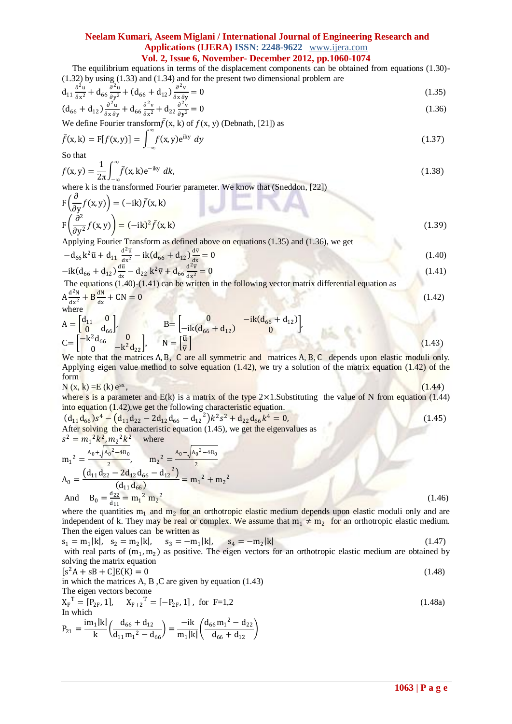# **Neelam Kumari, Aseem Miglani / International Journal of Engineering Research and Applications (IJERA) ISSN: 2248-9622** www.ijera.com

## **Vol. 2, Issue 6, November- December 2012, pp.1060-1074**

 The equilibrium equations in terms of the displacement components can be obtained from equations (1.30)- (1.32) by using (1.33) and (1.34) and for the present two dimensional problem are

$$
d_{11}\frac{\partial^2 u}{\partial x^2} + d_{66}\frac{\partial^2 u}{\partial y^2} + (d_{66} + d_{12})\frac{\partial^2 v}{\partial x \partial y} = 0
$$
\n(1.35)

$$
(d_{66} + d_{12})\frac{\partial^2 u}{\partial x \partial y} + d_{66}\frac{\partial^2 v}{\partial x^2} + d_{22}\frac{\partial^2 v}{\partial y^2} = 0
$$
\n(1.36)

We define Fourier transform  $\bar{f}(x, k)$  of  $f(x, y)$  (Debnath, [21]) as

$$
\bar{f}(\mathbf{x}, \mathbf{k}) = \mathbf{F}[f(\mathbf{x}, \mathbf{y})] = \int_{-\infty}^{\infty} f(\mathbf{x}, \mathbf{y}) e^{i\mathbf{k}\mathbf{y}} dy
$$
\n(1.37)

So that

$$
f(x, y) = \frac{1}{2\pi} \int_{-\infty}^{\infty} \bar{f}(x, k) e^{-iky} dk,
$$
\n(1.38)

where k is the transformed Fourier parameter. We know that (Sneddon, [22]) ∂

$$
F\left(\frac{\partial}{\partial y}f(x,y)\right) = (-ik)\bar{f}(x,k)
$$
  
\n
$$
F\left(\frac{\partial^2}{\partial y^2}f(x,y)\right) = (-ik)^2 \bar{f}(x,k)
$$
\n(1.39)

Applying Fourier Transform as defined above on equations (1.35) and (1.36), we get

$$
-d_{66}k^2\bar{u} + d_{11}\frac{d^2\bar{u}}{dx^2} - ik(d_{66} + d_{12})\frac{d\bar{v}}{dx} = 0
$$
\n(1.40)

$$
-ik(d_{66} + d_{12})\frac{d\bar{u}}{dx} - d_{22}k^{2}\bar{v} + d_{66}\frac{d^{2}\bar{v}}{dx^{2}} = 0
$$
\n(1.41)

The equations (1.40)-(1.41) can be written in the following vector matrix differential equation as  
\n
$$
A \frac{d^2N}{dx^2} + B \frac{dN}{dx} + CN = 0
$$
\n(1.42)

**STATISTICS** 

 $\frac{dx^2}{dx^2}$  dx

$$
A = \begin{bmatrix} d_{11} & 0 \\ 0 & d_{66} \end{bmatrix}, \qquad B = \begin{bmatrix} 0 & -ik(d_{66} + d_{12}) \\ -ik(d_{66} + d_{12}) & 0 \end{bmatrix},
$$
  
\n
$$
C = \begin{bmatrix} -k^2d_{66} & 0 \\ 0 & -k^2d_{22} \end{bmatrix}, \qquad N = \begin{bmatrix} \overline{u} \\ \overline{v} \end{bmatrix}
$$
\n(1.43)

We note that the matrices A, B, C are all symmetric and matrices A, B, C depends upon elastic moduli only. Applying eigen value method to solve equation (1.42), we try a solution of the matrix equation (1.42) of the form

$$
N(x, k) = E(k) e^{sx},
$$
\n(1.44)

where s is a parameter and  $E(k)$  is a matrix of the type  $2 \times 1$ . Substituting the value of N from equation (1.44) into equation (1.42),we get the following characteristic equation.

 $(d_{11}d_{66})s^4 - (d_{11}d_{22} - 2d_{12}d_{66} - d_{12}^2)k^2s^2 + d_{22}d_{66}k^4 = 0,$  (1.45) After solving the characteristic equation (1.45), we get the eigenvalues as  $s^2 = m_1^2 k^2, m_2^2 k^2$  where  $m_1{}^2 = \frac{A_0 + \sqrt{A_0{}^2 - 4B_0}}{2}$ ,  $m_2^2 = \frac{A_0 - \sqrt{A_0}}{2}$  $2-4B_0$ 

$$
A_0 = \frac{(d_{11}d_{22} - 2d_{12}d_{66} - d_{12}^2)}{(d_{11}d_{66})} = m_1^2 + m_2^2
$$
  
And 
$$
B_0 = \frac{d_{22}}{d_{11}} = m_1^2 m_2^2
$$
 (1.46)

where the quantities  $m_1$  and  $m_2$  for an orthotropic elastic medium depends upon elastic moduli only and are independent of k. They may be real or complex. We assume that  $m_1 \neq m_2$  for an orthotropic elastic medium. Then the eigen values can be written as

$$
s_1 = m_1 |k|
$$
,  $s_2 = m_2 |k|$ ,  $s_3 = -m_1 |k|$ ,  $s_4 = -m_2 |k|$  (1.47)  
with real parts of  $(m_1, m_2)$  as positive. The eigen vectors for an orthotropic elastic medium are obtained by solving the matrix equation

$$
[s2A + sB + C]E(K) = 0
$$
  
in which the matrices A, B, C are given by equation (1.43)  
The eigen vectors become  

$$
X_F^T = [P_{2F}, 1], X_{F+2}^T = [-P_{2F}, 1], \text{ for } F=1,2
$$
  
In which  
in this is 
$$
[A + A] = \frac{1}{2} [A + A] = \frac{1}{2} [A + A] = \frac{1}{2} [A + A] = \frac{1}{2} [A + A] = \frac{1}{2} [A + A] = \frac{1}{2} [A + A] = \frac{1}{2} [A + A] = \frac{1}{2} [A + A] = \frac{1}{2} [A + A] = \frac{1}{2} [A + A] = \frac{1}{2} [A + A] = \frac{1}{2} [A + A] = \frac{1}{2} [A + A] = \frac{1}{2} [A + A] = \frac{1}{2} [A + A] = \frac{1}{2} [A + A] = \frac{1}{2} [A + A] = \frac{1}{2} [A + A] = \frac{1}{2} [A + A] = \frac{1}{2} [A + A] = \frac{1}{2} [A + A] = \frac{1}{2} [A + A] = \frac{1}{2} [A + A] = \frac{1}{2} [A + A] = \frac{1}{2} [A + A] = \frac{1}{2} [A + A] = \frac{1}{2} [A + A] = \frac{1}{2} [A + A] = \frac{1}{2} [A + A] = \frac{1}{2} [A + A] = \frac{1}{2} [A + A] = \frac{1}{2} [A + A] = \frac{1}{2} [A + A] = \frac{1}{2} [A + A] = \frac{1}{2} [A + A] = \frac{1}{2} [A + A] = \frac{1}{2} [A + A] = \frac{1}{2} [A + A] = \frac{1}{2} [A + A] = \frac{1}{2} [A + A] = \frac{1}{2} [A + A] = \frac{1}{2} [A + A] = \frac{1}{2} [A + A] = \frac{1}{2} [A + A] = \frac{1}{2} [A + A] = \frac{1}{2} [A + A] = \frac{1}{2} [A + A] = \frac{1}{2} [A + A] = \frac{1}{2} [A + A] =
$$

$$
P_{21} = \frac{im_1|k|}{k} \left( \frac{d_{66} + d_{12}}{d_{11}m_1{}^2 - d_{66}} \right) = \frac{-ik}{m_1|k|} \left( \frac{d_{66}m_1{}^2 - d_{22}}{d_{66} + d_{12}} \right)
$$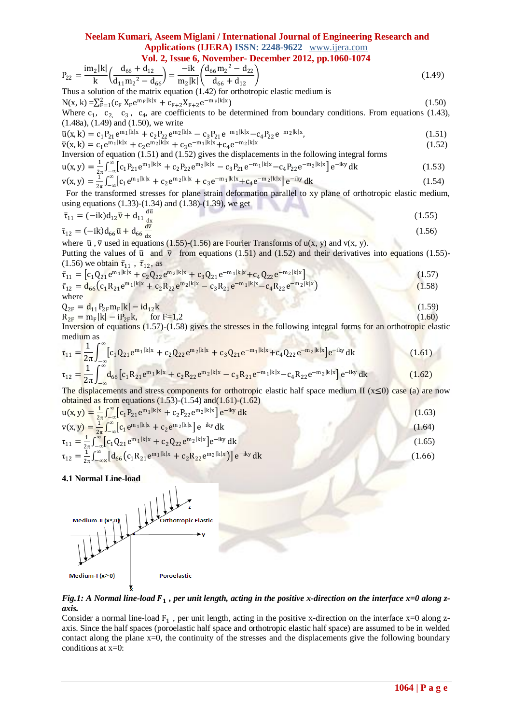# **Neelam Kumari, Aseem Miglani / International Journal of Engineering Research and Applications (IJERA) ISSN: 2248-9622** www.ijera.com

**Vol. 2, Issue 6, November- December 2012, pp.1060-1074**

$$
P_{22} = \frac{im_2|k|}{k} \left( \frac{d_{66} + d_{12}}{d_{11}m_2^2 - d_{66}} \right) = \frac{-ik}{m_2|k|} \left( \frac{d_{66}m_2^2 - d_{22}}{d_{66} + d_{12}} \right)
$$
(1.49)

Thus a solution of the matrix equation (1.42) for orthotropic elastic medium is  $N(x, k) = \sum_{F=1}^{2} (c_F X_F e^{m_F|k|x} + c_{F+2} X_{F+2} e^{-m_F|k|x})$  (1.50) Where  $c_1$ ,  $c_2$ ,  $c_3$ ,  $c_4$ , are coefficients to be determined from boundary conditions. From equations (1.43), (1.48a), (1.49) and (1.50), we write

$$
\overline{u}(x,k) = c_1 P_{21} e^{m_1|k|x} + c_2 P_{22} e^{m_2|k|x} - c_3 P_{21} e^{-m_1|k|x} - c_4 P_{22} e^{-m_2|k|x},
$$
\n(1.51)  
\n
$$
\overline{v}(x,k) = c_1 e^{m_1|k|x} + c_2 e^{m_2|k|x} + c_3 e^{-m_1|k|x} + c_4 e^{-m_2|k|x}
$$
\n(1.52)

$$
\overline{v}(x,k) = c_1 e^{m_1|k|x} + c_2 e^{m_2|k|x} + c_3 e^{-m_1|k|x} + c_4 e^{-m_2|k|x}
$$

Inversion of equation (1.51) and (1.52) gives the displacements in the following integral forms 1 ∞

$$
u(x,y) = \frac{1}{2\pi} \int_{-\infty}^{\infty} \left[ c_1 P_{21} e^{m_1|k|x} + c_2 P_{22} e^{m_2|k|x} - c_3 P_{21} e^{-m_1|k|x} - c_4 P_{22} e^{-m_2|k|x} \right] e^{-iky} dk
$$
\n(1.53)  
\n
$$
v(x,y) = \frac{1}{2\pi} \int_{-\infty}^{\infty} \left[ c_1 e^{m_1|k|x} + c_2 e^{m_2|k|x} + c_3 e^{-m_1|k|x} + c_4 e^{-m_2|k|x} \right] e^{-iky} dk
$$
\n(1.54)

For the transformed stresses for plane strain deformation parallel to xy plane of orthotropic elastic medium, using equations (1.33)-(1.34) and (1.38)-(1.39), we get\n
$$
y = \frac{2\pi}{3} \left( \frac{2\pi}{3} \right)
$$

$$
\bar{\tau}_{11} = (-ik)d_{12}\bar{v} + d_{11}\frac{d\bar{v}}{dx}
$$
\n(1.55)

$$
\bar{\tau}_{12} = (-ik)d_{66}\bar{u} + d_{66}\frac{dv}{dx}
$$
\n
$$
(1.56)
$$

where  $\bar{u}$ ,  $\bar{v}$  used in equations (1.55)-(1.56) are Fourier Transforms of u(x, y) and v(x, y).

Putting the values of  $\bar{u}$  and  $\bar{v}$  from equations (1.51) and (1.52) and their derivatives into equations (1.55)-(1.56) we obtain  $\bar{\tau}_{11}$ ,  $\bar{\tau}_{12}$ , as

$$
\bar{\tau}_{11} = [c_1 Q_{21} e^{m_1|k|x} + c_2 Q_{22} e^{m_2|k|x} + c_3 Q_{21} e^{-m_1|k|x} + c_4 Q_{22} e^{-m_2|k|x}
$$
\n
$$
\bar{\tau}_{12} = d_{66} (c_1 R_{21} e^{m_1|k|x} + c_2 R_{22} e^{m_2|k|x} - c_3 R_{21} e^{-m_1|k|x} - c_4 R_{22} e^{-m_2|k|x}
$$
\n(1.58)  
\nwhere

$$
Q_{2F} = d_{11} P_{2F} m_F |k| - id_{12} k \tag{1.59}
$$

$$
R_{2F} = m_F |k| - i P_{2F} k, \quad \text{for } F = 1,2
$$
\n(1.60)

Inversion of equations (1.57)-(1.58) gives the stresses in the following integral forms for an orthotropic elastic medium as  $\int_1^{\infty}$ 

$$
\tau_{11} = \frac{1}{2\pi} \int_{-\infty}^{\infty} [c_1 Q_{21} e^{m_1|k|x} + c_2 Q_{22} e^{m_2|k|x} + c_3 Q_{21} e^{-m_1|k|x} + c_4 Q_{22} e^{-m_2|k|x} ]e^{-iky} dk
$$
(1.61)

$$
\tau_{12} = \frac{1}{2\pi} \int_{-\infty} d_{66} \left[ c_1 R_{21} e^{m_1|k|x} + c_2 R_{22} e^{m_2|k|x} - c_3 R_{21} e^{-m_1|k|x} - c_4 R_{22} e^{-m_2|k|x} \right] e^{-iky} dk \tag{1.62}
$$

The displacements and stress components for orthotropic elastic half space medium II ( $x \le 0$ ) case (a) are now obtained as from equations  $(1.53)-(1.54)$  and $(1.61)-(1.62)$ 

$$
u(x,y) = \frac{1}{2\pi} \int_{-\infty}^{\infty} [c_1 P_{21} e^{m_1|k|x} + c_2 P_{22} e^{m_2|k|x}] e^{-iky} dk
$$
  
\n
$$
v(x,y) = \frac{1}{2\pi} \int_{-\infty}^{\infty} [c_1 e^{m_1|k|x} + c_2 e^{m_2|k|x}] e^{-iky} dk
$$
  
\n
$$
\tau_{11} = \frac{1}{2\pi} \int_{-\infty}^{\infty} [c_1 Q_{21} e^{m_1|k|x} + c_2 Q_{22} e^{m_2|k|x}] e^{-iky} dk
$$
  
\n
$$
\tau_{12} = \frac{1}{2\pi} \int_{-\infty}^{\infty} [d_{66}(c_1 R_{21} e^{m_1|k|x} + c_2 R_{22} e^{m_2|k|x}] e^{-iky} dk
$$
  
\n(1.66)

**4.1 Normal Line-load** 



Fig.1: A Normal line-load F<sub>1</sub>, per unit length, acting in the positive x-direction on the interface x=0 along z*axis.*

Consider a normal line-load  $F_1$ , per unit length, acting in the positive x-direction on the interface  $x=0$  along zaxis. Since the half spaces (poroelastic half space and orthotropic elastic half space) are assumed to be in welded contact along the plane x=0, the continuity of the stresses and the displacements give the following boundary conditions at x=0: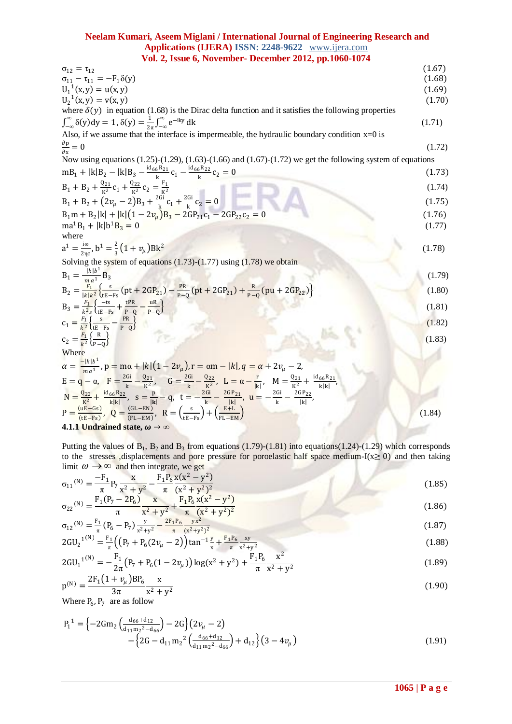| $\sigma_{12} = \tau_{12}$                                                                                                                                                                       | (1.67) |
|-------------------------------------------------------------------------------------------------------------------------------------------------------------------------------------------------|--------|
| $\sigma_{11} - \tau_{11} = -F_1 \delta(y)$                                                                                                                                                      | (1.68) |
| $U_1^1(x, y) = u(x, y)$                                                                                                                                                                         | (1.69) |
| $U_2^1(x, y) = v(x, y)$                                                                                                                                                                         | (1.70) |
| where $\delta(y)$ in equation (1.68) is the Dirac delta function and it satisfies the following properties                                                                                      |        |
| $\int_{-\infty}^{\infty} \delta(y) dy = 1, \delta(y) = \frac{1}{2\pi} \int_{-\infty}^{\infty} e^{-iky} dk$                                                                                      | (1.71) |
| Also, if we assume that the interface is impermeable, the hydraulic boundary condition $x=0$ is                                                                                                 |        |
| $\frac{\partial \mathbf{p}}{\partial \mathbf{x}} = 0$                                                                                                                                           | (1.72) |
| Now using equations $(1.25)-(1.29)$ , $(1.63)-(1.66)$ and $(1.67)-(1.72)$ we get the following system of equations                                                                              |        |
| $mB_1 +  k B_2 -  k B_3 - \frac{id_{66}R_{21}}{h}c_1 - \frac{id_{66}R_{22}}{h}c_2 = 0$                                                                                                          | (1.73) |
| $B_1 + B_2 + \frac{Q_{21}}{R^2}c_1 + \frac{Q_{22}}{R^2}c_2 = \frac{F_1}{R^2}$                                                                                                                   | (1.74) |
| $B_1 + B_2 + (2v_\mu - 2)B_3 + \frac{2Gi}{h}c_1 + \frac{2Gi}{h}c_2 = 0$                                                                                                                         | (1.75) |
| $B_1m + B_2 k  +  k (1 - 2v_u)B_3 - 2GP_{21}c_1 - 2GP_{22}c_2 = 0$                                                                                                                              | (1.76) |
| $ma^{1}B_{1} +  k b^{1}B_{3} = 0$                                                                                                                                                               | (1.77) |
| where                                                                                                                                                                                           |        |
| $a^1 = \frac{100}{2 \pi c}$ , $b^1 = \frac{2}{3}(1 + v_\mu)Bk^2$                                                                                                                                | (1.78) |
| Solving the system of equations $(1.73)-(1.77)$ using $(1.78)$ we obtain                                                                                                                        |        |
| $B_1 = \frac{- k b^1}{1}B_3$                                                                                                                                                                    | (1.79) |
| $B_2 = \frac{F_1}{ k k^2} \left\{ \frac{s}{r_{F-Fs}} (pt + 2GP_{21}) - \frac{PR}{p_{-0}} (pt + 2GP_{21}) + \frac{R}{p_{-0}} (pu + 2GP_{22}) \right\}$                                           | (1.80) |
| $B_3 = \frac{F_1}{k^2s} \left\{ \frac{-ts}{tE - Fs} + \frac{tPR}{P-0} - \frac{uR}{P-0} \right\}$                                                                                                | (1.81) |
| $c_1 = \frac{F_1}{k^2} \left\{ \frac{s}{t_F - Fs} - \frac{PR}{P} \right\}$                                                                                                                      | (1.82) |
| $c_2 = \frac{F_1}{k^2} \left\{ \frac{R}{R_1 R_2} \right\}$                                                                                                                                      | (1.83) |
| Where                                                                                                                                                                                           |        |
| $\alpha = \frac{- k b^1}{m a^1}$ , $p = m\alpha +  k (1 - 2v_\mu)$ , $r = \alpha m -  k $ , $q = \alpha + 2v_\mu - 2$ ,                                                                         |        |
| $E = q - \alpha$ , $F = \frac{2Gi}{k} - \frac{Q_{21}}{k^2}$ , $G = \frac{2Gi}{k} - \frac{Q_{22}}{k^2}$ , $L = \alpha - \frac{r}{ k }$ , $M = \frac{Q_{21}}{k^2} + \frac{id_{66}R_{21}}{k^2 k }$ |        |
| $N = \frac{Q_{22}}{k^2} + \frac{id_{66}R_{22}}{klk}$ , $S = \frac{p}{lk} - q$ , $t = -\frac{2Gi}{k} - \frac{2GP_{21}}{kl}$ , $u = -\frac{2Gi}{k} - \frac{2GP_{22}}{lk}$ ,                       |        |
| $P = \frac{(uE - Gs)}{(tE - Fs)}$ , $Q = \frac{(GL - EN)}{(EL - EM)}$ , $R = \left(\frac{s}{tE - Fs}\right) + \left(\frac{E + L}{FL - EM}\right)$                                               | (1.84) |

**4.1.1 Undrained state,**  $\omega \rightarrow \infty$ 

Putting the values of  $B_1$ ,  $B_2$  and  $B_3$  from equations (1.79)-(1.81) into equations(1.24)-(1.29) which corresponds to the stresses ,displacements and pore pressure for poroelastic half space medium-I( $x \ge 0$ ) and then taking limit  $\omega \rightarrow \infty$  and then integrate, we get

$$
\sigma_{11}^{(N)} = \frac{-F_1}{\pi} P_7 \frac{x}{x^2 + y^2} - \frac{F_1 P_6}{\pi} \frac{x(x^2 - y^2)}{(x^2 + y^2)^2}
$$
\n(1.85)\n
$$
F_1 (P_7 - 2P_6) \frac{x}{x} - \frac{F_1 P_6}{F_1 P_6} \frac{x(x^2 - y^2)}{(x^2 - y^2)}
$$
\n(1.86)

$$
\sigma_{22}^{(N)} = \frac{F_1 (P_7 - 2P_6)}{\pi} \frac{x}{x^2 + y^2} + \frac{F_1 P_6 x (x^2 - y^2)}{\pi (x^2 + y^2)^2}
$$
\n
$$
\sigma_{12}^{(N)} = \frac{F_1}{\pi} (P_6 - P_7) \frac{y}{x^2 + y^2} - \frac{2F_1 P_6}{\pi} \frac{yx^2}{(x^2 + y^2)^2}
$$
\n(1.87)

$$
2GU_2^{1(N)} = \frac{F_1}{\pi} \left( \left( P_7 + P_6 (2v_\mu - 2) \right) \tan^{-1} \frac{y}{x} + \frac{F_1 P_6}{\pi} \frac{xy}{x^2 + y^2} \right)
$$
(1.88)

$$
2GU_1^{(N)} = -\frac{F_1}{2\pi} \left( P_7 + P_6 (1 - 2\nu_\mu) \right) \log(x^2 + y^2) + \frac{F_1 P_6}{\pi} \frac{x^2}{x^2 + y^2}
$$
(1.89)

$$
p^{(N)} = \frac{2F_1(1 + v_\mu)BP_6}{3\pi} \frac{x}{x^2 + y^2}
$$
 (1.90)

Where  $P_6$ ,  $P_7$  are as follow

$$
P_1^1 = \left\{-2Gm_2 \left(\frac{d_{66} + d_{12}}{d_{11}m_2^2 - d_{66}}\right) - 2G\right\} \left(2\nu_\mu - 2\right) - \left\{2G - d_{11}m_2^2 \left(\frac{d_{66} + d_{12}}{d_{11}m_2^2 - d_{66}}\right) + d_{12}\right\} \left(3 - 4\nu_\mu\right)
$$
(1.91)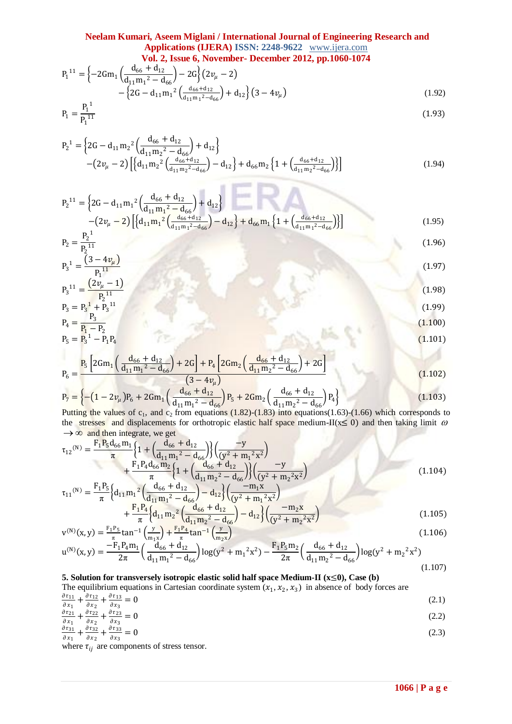$$
P_1^{11} = \left\{-2Gm_1 \left(\frac{d_{66} + d_{12}}{d_{11}m_1^2 - d_{66}}\right) - 2G\right\}(2v_\mu - 2) - \left\{2G - d_{11}m_1^2 \left(\frac{d_{66} + d_{12}}{d_{11}m_1^2 - d_{66}}\right) + d_{12}\right\}(3 - 4v_\mu)
$$
\n(1.92)

$$
P_1 = \frac{P_1^{1}}{P_1^{11}}
$$
 (1.93)

$$
P_2^1 = \left\{ 2G - d_{11}m_2^2 \left( \frac{d_{66} + d_{12}}{d_{11}m_2^2 - d_{66}} \right) + d_{12} \right\} - \left( 2v_\mu - 2 \right) \left[ \left\{ d_{11}m_2^2 \left( \frac{d_{66} + d_{12}}{d_{11}m_2^2 - d_{66}} \right) - d_{12} \right\} + d_{66}m_2 \left\{ 1 + \left( \frac{d_{66} + d_{12}}{d_{11}m_2^2 - d_{66}} \right) \right\} \right]
$$
(1.94)

 $\sim$ 

$$
P_2^{11} = \left\{ 2G - d_{11}m_1^2 \left( \frac{d_{66} + d_{12}}{d_{11}m_1^2 - d_{66}} \right) + d_{12} \right\} - \left( 2\nu_\mu - 2 \right) \left[ \left\{ d_{11}m_1^2 \left( \frac{d_{66} + d_{12}}{d_{11}m_1^2 - d_{66}} \right) - d_{12} \right\} + d_{66}m_1 \left\{ 1 + \left( \frac{d_{66} + d_{12}}{d_{11}m_1^2 - d_{66}} \right) \right\} \right]
$$
(1.95)

$$
P_2 = \frac{2}{P_2^{11}} \tag{1.96}
$$
\n
$$
P_3^1 = \frac{(3 - 4v_\mu)}{P_1^{11}} \tag{1.97}
$$

$$
P_3^{11} = \frac{(2v_\mu - 1)}{P_2^{11}}
$$
  
\n
$$
P_3 = P_3^1 + P_3^{11}
$$
  
\n(1.99)

$$
P_4 = \frac{P_3}{P_1 - P_2}
$$
\n
$$
P_5 = P_3^1 - P_1 P_4
$$
\n(1.100)

$$
P_5 = P_3^1 - P_1 P_4
$$
\n(1.101)  
\n
$$
P_2 \left[2C_{\rm rms} \left( \frac{d_{66} + d_{12}}{2C_{\rm rms} + 2C_{\rm rms}} \right) + 2C_{\rm rms} \left( \frac{d_{66} + d_{12}}{2C_{\rm rms} + 2C_{\rm rms}} \right) + 2C_{\rm rms} \right]
$$

$$
P_6 = \frac{P_5 \left[2Gm_1 \left(\frac{u_{66} + u_{12}}{d_{11}m_1^2 - d_{66}}\right) + 2G\right] + P_4 \left[2Gm_2 \left(\frac{u_{66} + u_{12}}{d_{11}m_2^2 - d_{66}}\right) + 2G\right]}{\left(3 - 4v_\mu\right)}
$$
(1.102)

$$
P_7 = \left\{ -\left(1 - 2v_\mu\right)P_6 + 2Gm_1\left(\frac{d_{66} + d_{12}}{d_{11}m_1^2 - d_{66}}\right)P_5 + 2Gm_2\left(\frac{d_{66} + d_{12}}{d_{11}m_2^2 - d_{66}}\right)P_4 \right\}
$$
(1.103)

Putting the values of  $c_1$ , and  $c_2$  from equations (1.82)-(1.83) into equations(1.63)-(1.66) which corresponds to the stresses and displacements for orthotropic elastic half space medium-II( $x \le 0$ ) and then taking limit  $\omega$  $\rightarrow \infty$  and then integrate, we get

$$
\tau_{12}^{(N)} = \frac{F_1 P_5 d_{66} m_1}{\pi} \left\{ 1 + \left( \frac{d_{66} + d_{12}}{d_{11} m_1^2 - d_{66}} \right) \left( \frac{-y}{(y^2 + m_1^2 x^2)} \right) + \frac{F_1 P_4 d_{66} m_2}{\pi} \left\{ 1 + \left( \frac{d_{66} + d_{12}}{d_{11} m_2^2 - d_{66}} \right) \left( \frac{-y}{(y^2 + m_2^2 x^2)} \right) \right\}
$$
\n
$$
\tau_{11}^{(N)} = \frac{F_1 P_5}{\pi} \left\{ d_{11} m_1^2 \left( \frac{d_{66} + d_{12}}{d_{11} m_1^2 - d_{66}} \right) - d_{12} \right\} \left( \frac{-m_1 x}{(y^2 + m_1^2 x^2)} \right\}
$$
\n(1.104)

$$
= \pi \left( \frac{a_{11}m_1}{d_{11}m_1^2 - d_{66}} \right) \frac{a_{12}}{(y^2 + m_1^2x^2)} + \frac{F_1P_4}{\pi} \left\{ d_{11}m_2^2 \left( \frac{d_{66} + d_{12}}{d_{11}m_2^2 - d_{66}} \right) - d_{12} \right\} \left( \frac{-m_2x}{(y^2 + m_2^2x^2)} \right) \tag{1.105}
$$

$$
v^{(N)}(x,y) = \frac{F_1 P_5}{\pi} \tan^{-1} \left( \frac{y}{m_1 x} \right) + \frac{F_1 P_4}{\pi} \tan^{-1} \left( \frac{y}{m_2 x} \right)
$$
(1.106)  

$$
v^{(N)}(x,y) = -F_1 P_4 m_1 \left( \frac{d_{66} + d_{12}}{d_{66} + d_{12}} \right) \tan^{(2)} \left( \frac{d_{66} + d_{12}}{d_{66} + d_{12}} \right) \tan^{(2)} \left( \frac{d_{66} + d_{12}}{d_{66} + d_{12}} \right)
$$
(1.106)

$$
u^{(N)}(x,y) = \frac{-r_1 r_4 m_1}{2\pi} \left( \frac{u_{66} + u_{12}}{d_{11} m_1^2 - d_{66}} \right) \log(y^2 + m_1^2 x^2) - \frac{r_1 r_5 m_2}{2\pi} \left( \frac{u_{66} + u_{12}}{d_{11} m_2^2 - d_{66}} \right) \log(y^2 + m_2^2 x^2)
$$
\n(1.107)

# **5. Solution for transversely isotropic elastic solid half space Medium-II (x**≤**0), Case (b)**

The equilibrium equations in Cartesian coordinate system  $(x_1, x_2, x_3)$  in absence of body forces are

 $\partial\, \tau_{11}$  $\frac{\partial \tau_{11}}{\partial x_1} + \frac{\partial \tau_{12}}{\partial x_2}$  $\frac{\partial \tau_{12}}{\partial x_2} + \frac{\partial \tau_{13}}{\partial x_3}$  $= 0$  (2.1)

$$
\frac{\partial x_1}{\partial x_1} + \frac{\partial x_2}{\partial x_2} + \frac{\partial x_3}{\partial x_3} = 0
$$
\n(2.2)

$$
\frac{\partial \tau_{31}}{\partial x_1} + \frac{\partial \tau_{32}}{\partial x_2} + \frac{\partial \tau_{33}}{\partial x_3} = 0 \tag{2.3}
$$

where  $\tau_{ij}$  are components of stress tensor.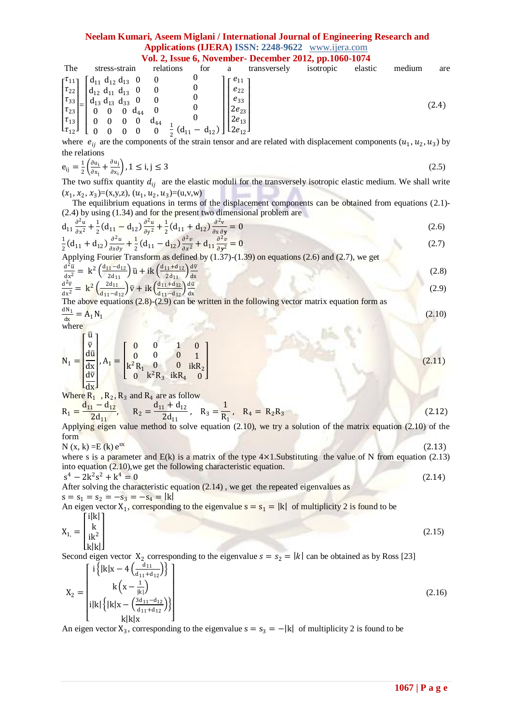# **Neelam Kumari, Aseem Miglani / International Journal of Engineering Research and Applications (IJERA) ISSN: 2248-9622** www.ijera.com

**Vol. 2, Issue 6, November- December 2012, pp.1060-1074**

| The                                                                                          | stress-strain                                                                                                                                                                                                                                                                                                                     | relations                | for                                                                                   | a                                                           | transversely | isotropic | elastic | medium | are   |
|----------------------------------------------------------------------------------------------|-----------------------------------------------------------------------------------------------------------------------------------------------------------------------------------------------------------------------------------------------------------------------------------------------------------------------------------|--------------------------|---------------------------------------------------------------------------------------|-------------------------------------------------------------|--------------|-----------|---------|--------|-------|
| $\left \frac{\tau_{33}}{\tau_{23}}\right  =$<br>$ \tau_{13} $<br>$\lfloor \tau_{12} \rfloor$ | $\begin{bmatrix} \tau_{11} \\ \tau_{22} \end{bmatrix}$ $\begin{bmatrix} d_{11} & d_{12} & d_{13} & 0 \\ d_{12} & d_{11} & d_{13} & 0 \end{bmatrix}$<br>$d_{12} d_{11} d_{13} 0 0$<br>$\int d_{13} d_{13} d_{33} 0 0$<br>$0 \t 0 \t 0 \t d_{44}$<br>$\bf{0}$<br>$\overline{\mathbf{0}}$<br>$\mathbf{0}$<br>$\overline{\mathbf{0}}$ | $d_{44}$<br>$\mathbf{0}$ | $\frac{1}{2}$ (d <sub>11</sub> – d <sub>12</sub> ) $\left[ \frac{1}{2e_{12}} \right]$ | $-e_{11}$<br>$e_{22}$<br>$e_{33}$<br>$2e_{23}$<br>$2e_{13}$ |              |           |         |        | (2.4) |

where  $e_{ij}$  are the components of the strain tensor and are related with displacement components  $(u_1, u_2, u_3)$  by the relations

$$
e_{ij} = \frac{1}{2} \left( \frac{\partial u_i}{\partial x_j} + \frac{\partial u_j}{\partial x_i} \right), 1 \le i, j \le 3
$$
\n
$$
(2.5)
$$

The two suffix quantity  $d_{ij}$  are the elastic moduli for the transversely isotropic elastic medium. We shall write  $(x_1, x_2, x_3) = (x,y,z), (u_1, u_2, u_3) = (u, v, w)$ 

 The equilibrium equations in terms of the displacement components can be obtained from equations (2.1)- (2.4) by using (1.34) and for the present two dimensional problem are

$$
d_{11} \frac{\partial^2 u}{\partial x^2} + \frac{1}{2} (d_{11} - d_{12}) \frac{\partial^2 u}{\partial y^2} + \frac{1}{2} (d_{11} + d_{12}) \frac{\partial^2 v}{\partial x \partial y} = 0
$$
\n(2.6)\n
$$
\frac{1}{2} (d_{11} + d_{12}) \frac{\partial^2 u}{\partial x \partial y} + \frac{1}{2} (d_{11} - d_{12}) \frac{\partial^2 v}{\partial x^2} + d_{11} \frac{\partial^2 v}{\partial y^2} = 0
$$
\n(2.7)

Applying Fourier Transform as defined by (1.37)-(1.39) on equations (2.6) and (2.7), we get

$$
\frac{d^2 \bar{u}}{dx^2} = k^2 \left( \frac{d_{11} - d_{12}}{2d_{11}} \right) \bar{u} + ik \left( \frac{d_{11} + d_{12}}{2d_{11}} \right) \frac{d\bar{v}}{dx}
$$
\n(2.8)\n
$$
\frac{d^2 \bar{v}}{dx^2} = k^2 \left( \frac{2d_{11}}{d_{11} - d_{12}} \right) \bar{v} + ik \left( \frac{d_{11} + d_{12}}{d_{11} - d_{12}} \right) \frac{d\bar{u}}{dx}
$$
\n(2.9)

The above equations  $(2.8)-(2.9)$  can be written in the following vector matrix equation form as  $dN_1$  $\frac{dN_1}{dx} = A_1 N_1$  $(2.10)$ 

 $16.97$ 

where

$$
N_1 = \begin{bmatrix} \bar{u} \\ \bar{v} \\ d\bar{u} \\ dx \\ d\bar{v} \end{bmatrix}, A_1 = \begin{bmatrix} 0 & 0 & 1 & 0 \\ 0 & 0 & 0 & 1 \\ k^2 R_1 & 0 & 0 & 1 \\ 0 & k^2 R_3 & ikR_4 & 0 \end{bmatrix}
$$
(2.11)

Where  $R_1$ ,  $R_2$ ,  $R_3$  and  $R_4$  are as follow

$$
R_1 = \frac{d_{11} - d_{12}}{2d_{11}}, \qquad R_2 = \frac{d_{11} + d_{12}}{2d_{11}}, \quad R_3 = \frac{1}{R_1}, \quad R_4 = R_2 R_3
$$
\n(2.12)

Applying eigen value method to solve equation  $(2.10)$ , we try a solution of the matrix equation  $(2.10)$  of the form

$$
N(x, k) = E(k) e^{sx}
$$
 (2.13)

where s is a parameter and  $E(k)$  is a matrix of the type  $4 \times 1$ . Substituting the value of N from equation (2.13) into equation (2.10),we get the following characteristic equation.  $4 = 0$  (2.14)

 $s^4 - 2k^2s^2 + k$ After solving the characteristic equation (2.14) , we get the repeated eigenvalues as  $s = s_1 = s_2 = -s_3 = -s_4 = |k|$ 

An eigen vector  $X_1$ , corresponding to the eigenvalue  $s = s_1 = |k|$  of multiplicity 2 is found to be ا دانان<del>د</del> آ

$$
X_{1} = \begin{bmatrix} 1\\ k \\ ik^2 \\ k|k| \end{bmatrix}
$$
 (2.15)

Second eigen vector  $X_2$  corresponding to the eigenvalue  $s = s_2 = |k|$  can be obtained as by Ross [23]

$$
X_{2} = \begin{bmatrix} i \{ |k|x - 4\left(\frac{d_{11}}{d_{11} + d_{12}}\right) \} \\ k\left(x - \frac{1}{|k|}\right) \\ i|k| \{ |k|x - \left(\frac{3d_{11} - d_{12}}{d_{11} + d_{12}}\right) \} \\ k|k|x \end{bmatrix}
$$
(2.16)

An eigen vector  $X_3$ , corresponding to the eigenvalue  $s = s_3 = -|k|$  of multiplicity 2 is found to be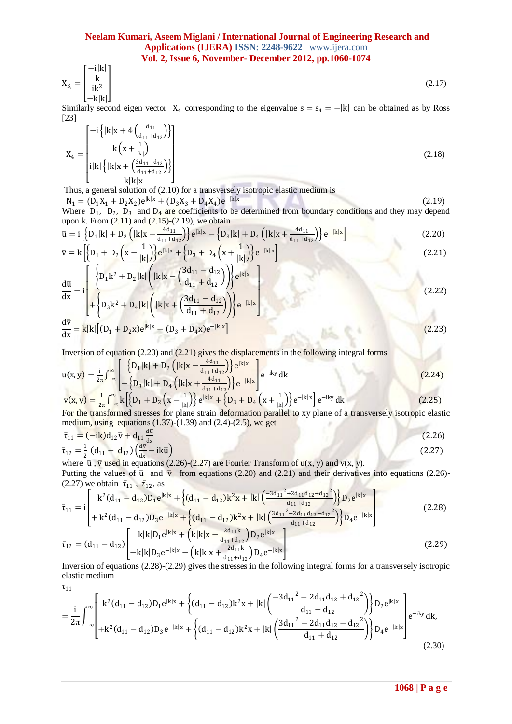$$
X_{3} = \begin{bmatrix} -1|K| \\ k \\ ik^2 \\ -k|k| \end{bmatrix}
$$
 (2.17)

Similarly second eigen vector  $X_4$  corresponding to the eigenvalue  $s = s_4 = - |k|$  can be obtained as by Ross [23]  $\sqrt{1}$ 

$$
X_{4} = \begin{bmatrix} -i\left\{ |k|x + 4\left(\frac{a_{11}}{d_{11} + d_{12}}\right) \right\} \\ k\left(x + \frac{1}{|k|}\right) \\ i|k| \left\{ |k|x + \left(\frac{3d_{11} - d_{12}}{d_{11} + d_{12}}\right) \right\} \\ -k|k|x \end{bmatrix}
$$
(2.18)

Thus, a general solution of (2.10) for a transversely isotropic elastic medium is

$$
N_1 = (D_1X_1 + D_2X_2)e^{ik|x|} + (D_3X_3 + D_4X_4)e^{-|k|x|}
$$
\n(2.19)

Where  $D_1$ ,  $D_2$ ,  $D_3$  and  $D_4$  are coefficients to be determined from boundary conditions and they may depend upon k. From  $(2.11)$  and  $(2.15)-(2.19)$ , we obtain

$$
\bar{u} = i \left[ \left\{ D_1 |k| + D_2 \left( |k|x - \frac{4d_{11}}{d_{11} + d_{12}} \right) \right\} e^{|k|x|} - \left\{ D_3 |k| + D_4 \left( |k|x + \frac{4d_{11}}{d_{11} + d_{12}} \right) \right\} e^{-|k|x|} \right]
$$
(2.20)

$$
\overline{v} = k \left[ \left\{ D_1 + D_2 \left( x - \frac{1}{|k|} \right) \right\} e^{|k|x|} + \left\{ D_3 + D_4 \left( x + \frac{1}{|k|} \right) \right\} e^{-|k|x|} \right]
$$
\n
$$
\left[ \left( D_1 + D_2 \left( x - \frac{1}{|k|} \right) \right) e^{|k|x|} \right]
$$
\n
$$
(2.21)
$$

$$
\frac{d\bar{u}}{dx} = i \left\{ D_1 k^2 + D_2 |k| \left( |k|x - \left( \frac{3u_{11} - u_{12}}{d_{11} + d_{12}} \right) \right) \right\} e^{ik|x|} + \left\{ D_3 k^2 + D_4 |k| \left( |k|x + \left( \frac{3d_{11} - d_{12}}{d_{11} + d_{12}} \right) \right) \right\} e^{-|k|x|} \right\}
$$
(2.22)

$$
\frac{dv}{dx} = k|k| \left[ (D_1 + D_2 x)e^{[k|x]} - (D_3 + D_4 x)e^{-[k|x]} \right]
$$
(2.23)

Inversion of equation (2.20) and (2.21) gives the displacements in the following integral forms

$$
u(x,y) = \frac{i}{2\pi} \int_{-\infty}^{\infty} \left[ \frac{\left\{ D_1 |k| + D_2 \left( |k|x - \frac{4d_{11}}{d_{11} + d_{12}} \right) \right\} e^{|k|x}}{-\left\{ D_3 |k| + D_4 \left( |k|x + \frac{4d_{11}}{d_{11} + d_{12}} \right) \right\} e^{-|k|x} \right]} e^{-iky} dk \tag{2.24}
$$

$$
v(x,y) = \frac{1}{2\pi} \int_{-\infty}^{\infty} k \left[ \left( D_1 + D_2 \left( x - \frac{1}{|k|} \right) \right) e^{|k|x|} + \left\{ D_3 + D_4 \left( x + \frac{1}{|k|} \right) \right\} e^{-|k|x|} \right] e^{-iky} dk
$$
\n(2.25)

For the transformed stresses for plane strain deformation parallel to xy plane of a transversely isotropic elastic medium, using equations  $(1.37)-(1.39)$  and  $(2.4)-(2.5)$ , we get

$$
\bar{\tau}_{11} = (-ik)d_{12}\bar{v} + d_{11}\frac{d\bar{u}}{dx}
$$
\n(2.26)  
\n
$$
\bar{\tau}_{12} = \frac{1}{2}(d_{11} - d_{12})(\frac{d\bar{v}}{dx} - ik\bar{u})
$$
\nwhere  $\bar{u}$ ,  $\bar{v}$  used in equations (2.26)-(2.27) are Fourier Transform of  $u(x, y)$  and  $v(x, y)$ .

Putting the values of  $\bar{u}$  and  $\bar{v}$  from equations (2.20) and (2.21) and their derivatives into equations (2.26)-(2.27) we obtain  $\bar{\tau}_{11}$ ,  $\bar{\tau}_{12}$ , as **Contact Contact State** 

$$
\bar{\tau}_{11} = i \begin{bmatrix} k^{2} (d_{11} - d_{12}) D_{1} e^{ik|x} + \left\{ (d_{11} - d_{12}) k^{2} x + |k| \left( \frac{-3 d_{11}^{2} + 2 d_{11} d_{12} + d_{12}^{2}}{d_{11} + d_{12}} \right) \right\} D_{2} e^{ik|x} \\ + k^{2} (d_{11} - d_{12}) D_{3} e^{-ik|x} + \left\{ (d_{11} - d_{12}) k^{2} x + |k| \left( \frac{3 d_{11}^{2} - 2 d_{11} d_{12} - d_{12}^{2}}{d_{11} + d_{12}} \right) \right\} D_{4} e^{-|k|x} \end{bmatrix}
$$
\n(2.28)

$$
\bar{\tau}_{12} = (d_{11} - d_{12}) \begin{bmatrix} k|k|D_1 e^{k|x} + (k|k|x - \frac{2a_{11}k}{d_{11} + d_{12}})D_2 e^{k|x} \\ -k|k|D_3 e^{-|k|x} - (k|k|x + \frac{2d_{11}k}{d_{11} + d_{12}})D_4 e^{-|k|x} \end{bmatrix}
$$
\n(2.29)

Inversion of equations (2.28)-(2.29) gives the stresses in the following integral forms for a transversely isotropic elastic medium

$$
\tau_{\rm 11}
$$

$$
= \frac{i}{2\pi} \int_{-\infty}^{\infty} \begin{bmatrix} k^{2} (d_{11} - d_{12}) D_{1} e^{ik|x} + \left\{ (d_{11} - d_{12}) k^{2} x + |k| \left( \frac{-3 d_{11}^{2} + 2 d_{11} d_{12} + d_{12}^{2}}{d_{11} + d_{12}} \right) \right\} D_{2} e^{ik|x} \\ + k^{2} (d_{11} - d_{12}) D_{3} e^{-|k|x} + \left\{ (d_{11} - d_{12}) k^{2} x + |k| \left( \frac{3 d_{11}^{2} - 2 d_{11} d_{12} - d_{12}^{2}}{d_{11} + d_{12}} \right) \right\} D_{4} e^{-|k|x} \end{bmatrix} e^{-iky} dk,
$$
\n(2.30)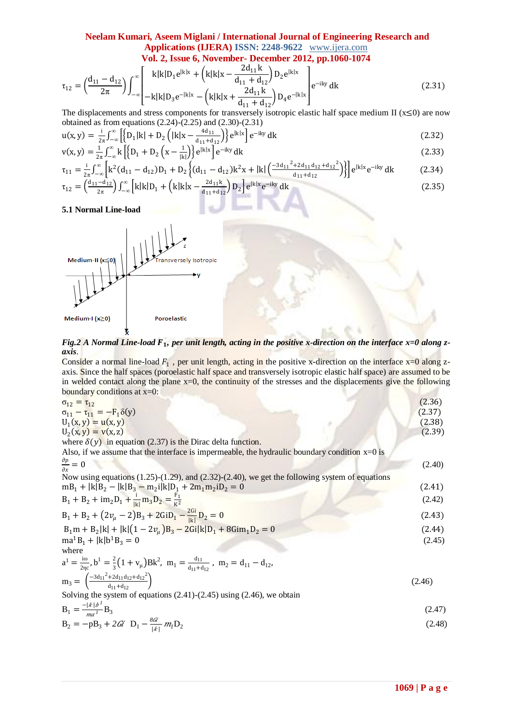$$
\tau_{12} = \left(\frac{d_{11} - d_{12}}{2\pi}\right) \int_{-\infty}^{\infty} \left[ \frac{k|k|D_1 e^{ik|x} + \left(k|k|x - \frac{2d_{11}k}{d_{11} + d_{12}}\right)D_2 e^{ik|x}}{k|x - \frac{2d_{11}k}{d_{11} + d_{12}}\right)D_4 e^{-|k|x|} e^{-iky} dk
$$
\n(2.31)

The displacements and stress components for transversely isotropic elastic half space medium II ( $x \le 0$ ) are now obtained as from equations  $(2.24)-(2.25)$  and  $(2.30)-(2.31)$ 

$$
u(x,y) = \frac{i}{2\pi} \int_{-\infty}^{\infty} \left[ \left\{ D_1 |k| + D_2 \left( |k|x - \frac{4d_{11}}{d_{11} + d_{12}} \right) \right\} e^{|k|x|} \right] e^{-iky} dk \tag{2.32}
$$

$$
v(x, y) = \frac{1}{2\pi} \int_{-\infty}^{\infty} k \left[ \left\{ D_1 + D_2 \left( x - \frac{1}{|k|} \right) \right\} e^{|k|x|} \right] e^{-iky} dk \tag{2.33}
$$

$$
\tau_{11} = \frac{i}{2\pi} \int_{-\infty}^{\infty} \left[ k^2 (d_{11} - d_{12}) D_1 + D_2 \left\{ (d_{11} - d_{12}) k^2 x + |k| \left( \frac{-3d_{11}^2 + 2d_{11} d_{12} + d_{12}^2}{d_{11} + d_{12}} \right) \right\} \right] e^{|k|x|} e^{-iky} dk \tag{2.34}
$$

$$
\tau_{12} = \left(\frac{d_{11}-d_{12}}{2\pi}\right) \int_{-\infty}^{\infty} \left[k|k|D_1 + \left(k|k|x - \frac{2d_{11}k}{d_{11}+d_{12}}\right)D_2\right] e^{|k|x|} e^{-iky} dk \tag{2.35}
$$

**5.1 Normal Line-load**



Fig.2 A Normal Li<mark>ne-</mark>load F<sub>1</sub>, per unit length, acting in the positive x-direction on the interface x=0 along z*axis*.

Consider a normal line-load  $F_1$ , per unit length, acting in the positive x-direction on the interface  $x=0$  along zaxis. Since the half spaces (poroelastic half space and transversely isotropic elastic half space) are assumed to be in welded contact along the plane x=0, the continuity of the stresses and the displacements give the following boundary conditions at x=0:

| $\sigma_{12} = \tau_{12}$                                                                                                                  | (2.36) |
|--------------------------------------------------------------------------------------------------------------------------------------------|--------|
| $\sigma_{11} - \tau_{11} = -F_1 \delta(y)$                                                                                                 | (2.37) |
| $U_1(x, y) = u(x, y)$                                                                                                                      | (2.38) |
| $U_2(x, y) = v(x, z)$                                                                                                                      | (2.39) |
| where $\delta(y)$ in equation (2.37) is the Dirac delta function.                                                                          |        |
| Also, if we assume that the interface is impermeable, the hydraulic boundary condition $x=0$ is                                            |        |
| $\frac{\partial p}{\partial x} = 0$                                                                                                        | (2.40) |
| Now using equations $(1.25)-(1.29)$ , and $(2.32)-(2.40)$ , we get the following system of equations                                       |        |
| $mB_1 +  k B_2 -  k B_3 - m_2 k D_1 + 2m_1m_2iD_2 = 0$                                                                                     | (2.41) |
| $B_1 + B_2 + im_2D_1 + \frac{i}{ v }m_3D_2 = \frac{F_1}{r^2}$                                                                              | (2.42) |
| $B_1 + B_2 + (2v_\mu - 2)B_3 + 2GiD_1 - \frac{2Gi}{ \mu }D_2 = 0$                                                                          | (2.43) |
| $B_1m + B_2 k  +  k (1 - 2v_u)B_3 - 2G_1 k D_1 + 8G_1m_1D_2 = 0$                                                                           | (2.44) |
| $ma^1B_1 +  k b^1B_3 = 0$                                                                                                                  | (2.45) |
| where                                                                                                                                      |        |
| $a^{1} = \frac{10}{2}$ , $b^{1} = \frac{2}{3}(1 + v_{\mu})Bk^{2}$ , $m_{1} = \frac{d_{11}}{d_{11} + d_{12}}$ , $m_{2} = d_{11} - d_{12}$ , |        |
| $m_3 = \left(\frac{-3d_{11}^2 + 2d_{11}d_{12} + d_{12}^2}{d_{11} + d_{12}}\right)$                                                         | (2.46) |
| Solving the system of equations $(2.41)-(2.45)$ using $(2.46)$ , we obtain                                                                 |        |
| $B_1 = \frac{- k b^1}{ma^1} B_3$                                                                                                           | (2.47) |
| $B_2 = -pB_3 + 2G\hat{i}$ $D_1 - \frac{8G\hat{i}}{ k } m_l D_2$                                                                            | (2.48) |
|                                                                                                                                            |        |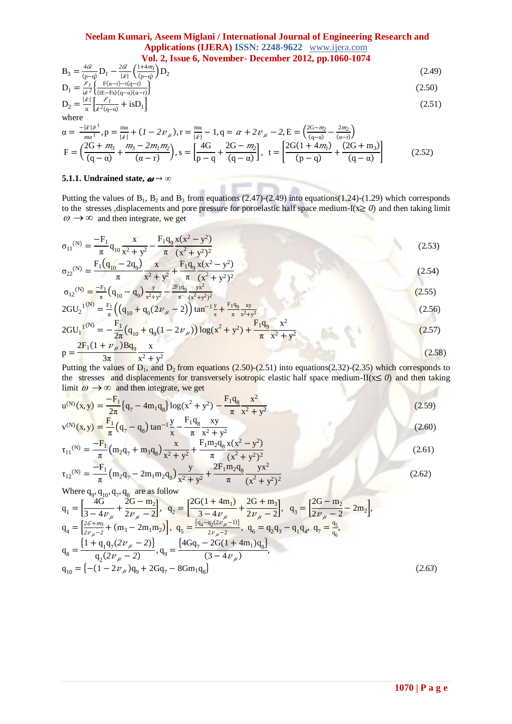$$
B_3 = \frac{4\alpha}{(p-q)} D_1 - \frac{2\alpha}{|k|} \left(\frac{1+4m_l}{(p-q)}\right) D_2
$$
\n
$$
D_1 = \frac{F_1}{P_1} \left(\frac{F(\alpha-r) - t(q-r)}{F(\alpha-r)}\right)
$$
\n(2.49)

$$
D_1 = \frac{r_1}{i\lambda^2} \left\{ \frac{F(\alpha - r) - t(q - r)}{(tE - Fs)(q - \alpha)(\alpha - r)} \right\}
$$
  
\n
$$
D_2 = \frac{|k|}{i\tau} \left[ \frac{F_1}{\lambda^2 (q - \alpha)} + \text{is} D_1 \right]
$$
\n(2.51)

where  
\n
$$
\alpha = \frac{-|k|b^T}{ma^T}, \, p = \frac{m\alpha}{|k|} + (1 - 2v_\mu), \, r = \frac{m\alpha}{|k|} - 1, \, q = \alpha + 2v_\mu - 2, \, E = \left(\frac{2G - m_2}{(q - \alpha)} - \frac{2m_2}{(\alpha - r)}\right)
$$
\n
$$
F = \left(\frac{2G + m_3}{(q - \alpha)} + \frac{m_3 - 2m_1m_2}{(\alpha - r)}\right), \, s = \left[\frac{4G}{p - q} + \frac{2G - m_2}{(q - \alpha)}\right], \, t = \left[\frac{2G(1 + 4m_1)}{(p - q)} + \frac{(2G + m_3)}{(q - \alpha)}\right]
$$
\n(2.52)

point.

 $\mathcal{L}$ 

### **5.1.1.** Undrained state,  $\boldsymbol{\omega} \rightarrow \infty$

Putting the values of  $B_1$ ,  $B_2$  and  $B_3$  from equations (2.47)-(2.49) into equations(1.24)-(1.29) which corresponds to the stresses ,displacements and pore pressure for poroelastic half space medium-I(x≥ *0*) and then taking limit  $\omega \rightarrow \infty$  and then integrate, we get

**SER** 

$$
\sigma_{11}^{(N)} = \frac{-F_1}{\pi} q_{10} \frac{x}{x^2 + y^2} - \frac{F_1 q_0}{\pi} \frac{x(x^2 - y^2)}{(x^2 + y^2)^2}
$$
(2.53)

$$
\sigma_{22}^{(N)} = \frac{F_1(q_{10} - 2q_9)}{\pi} \frac{x}{x^2 + y^2} + \frac{F_1q_9}{\pi} \frac{x(x^2 - y^2)}{(x^2 + y^2)^2}
$$
\n(2.54)

$$
\sigma_{12}^{(N)} = \frac{-r_1}{\pi} \left( q_{10} - q_9 \right) \frac{y}{x^2 + y^2} - \frac{2r_1 q_9}{\pi} \frac{yx}{(x^2 + y^2)^2}
$$
\n
$$
2 \text{GU}_2^{-1} \left( \frac{N}{x} \right) = \frac{F_1}{\pi} \left( \left( q_{10} + q_9 (2 \nu_\mu - 2) \right) \tan^{-1} \frac{y}{x} + \frac{F_1 q_9}{\pi} \frac{xy}{x^2 + y^2} \right) \tag{2.56}
$$

$$
2\text{GU}_1^{(N)} = -\frac{F_1}{2\pi} \left( q_{10} + q_9 (1 - 2\nu_\mu) \right) \log(\mathbf{x}^2 + \mathbf{y}^2) + \frac{F_1 q_9}{\pi} \frac{\mathbf{x}^2}{\mathbf{x}^2 + \mathbf{y}^2}
$$
(2.57)

$$
p = \frac{2F_1(1+\nu_\mu)Bq_9}{3\pi} \frac{x}{x^2 + y^2}
$$
 (2.58)

Putting the values of  $D_1$ , and  $D_2$  from equations (2.50)-(2.51) into equations(2.32)-(2.35) which corresponds to the stresses and displacements for transversely isotropic elastic half space medium-II(x≤ *0*) and then taking limit  $\omega \rightarrow \infty$  and then integrate, we get

$$
u^{(N)}(x,y) = \frac{-F_1}{2\pi} \{q_7 - 4m_1q_8\} \log(x^2 + y^2) - \frac{F_1q_8}{\pi} \frac{x^2}{x^2 + y^2}
$$
(2.59)  

$$
v^{(N)}(x,y) = \frac{F_1}{2} \left(q_7 - 4m_1q_8\right) \log(x^2 + y^2) - \frac{F_1q_8}{\pi} \frac{x^2}{x^2 + y^2}
$$
(2.59)

$$
v^{(N)}(x,y) = \frac{1}{\pi} \left( q_7 - q_8 \right) \tan^{-1} \frac{y}{x} - \frac{1 + q_8}{\pi} \frac{xy}{x^2 + y^2}
$$
(2.60)  

$$
\tau_{11}^{(N)} = \frac{-F_1}{\pi} \left( m_2 q_7 + m_3 q_8 \right) \frac{x}{x^2 + y^2} + \frac{F_1 m_2 q_8}{\pi} \frac{x(x^2 - y^2)}{(x^2 + y^2)^2}
$$
(2.61)

$$
\tau_{12}^{(N)} = \frac{-F_1}{\pi} \left( m_2 q_7 - 2m_1 m_2 q_8 \right) \frac{y}{x^2 + y^2} + \frac{2F_1 m_2 q_8}{\pi} \frac{yx^2}{(x^2 + y^2)^2}
$$
(2.62)

Where 
$$
q_{9}
$$
,  $q_{10}$ ,  $q_{7}$ ,  $q_{8}$  are as follow  
\n
$$
q_{1} = \left[\frac{4G}{3 - 4\nu_{\mu}} + \frac{2G - m_{2}}{2\nu_{\mu} - 2}\right], \quad q_{2} = \left[\frac{2G(1 + 4m_{1})}{3 - 4\nu_{\mu}} + \frac{2G + m_{3}}{2\nu_{\mu} - 2}\right], \quad q_{3} = \left[\frac{2G - m_{2}}{2\nu_{\mu} - 2} - 2m_{2}\right],
$$
\n
$$
q_{4} = \left[\frac{2G + m_{3}}{2\nu_{\mu} - 2} + (m_{3} - 2m_{1}m_{2})\right], \quad q_{5} = \frac{[q_{4} - q_{2}(2\nu_{\mu} - 1)]}{2\nu_{\mu} - 2}, \quad q_{6} = q_{2}q_{3} - q_{1}q_{4}, \quad q_{7} = \frac{q_{5}}{q_{6}},
$$
\n
$$
q_{8} = \frac{\left\{1 + q_{1}q_{7}(2\nu_{\mu} - 2)\right\}}{q_{2}(2\nu_{\mu} - 2)}, \quad q_{9} = \frac{\left\{4Gq_{7} - 2G(1 + 4m_{1})q_{8}\right\}}{(3 - 4\nu_{\mu})},
$$
\n
$$
q_{10} = \left\{-(1 - 2\nu_{\mu})q_{9} + 2Gq_{7} - 8Gm_{1}q_{8}\right\}
$$
\n(2.63)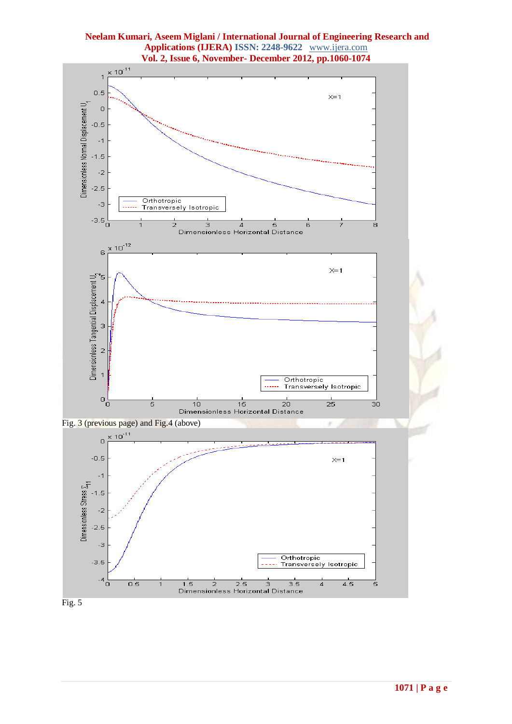

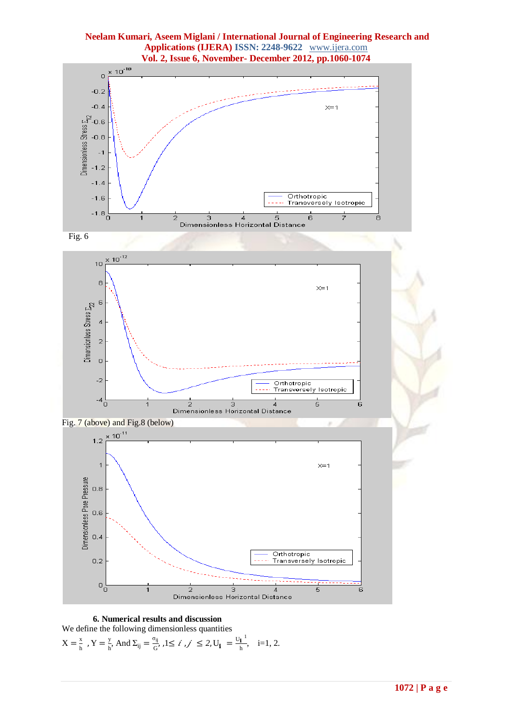

Fig. 6





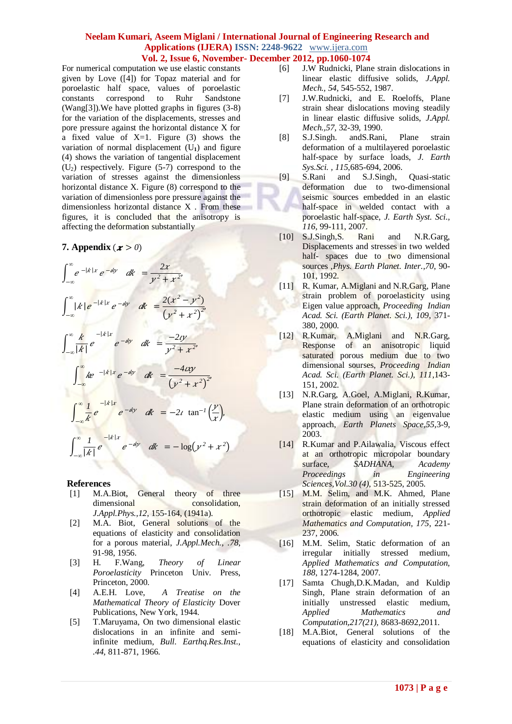For numerical computation we use elastic constants given by Love ([4]) for Topaz material and for poroelastic half space, values of poroelastic constants correspond to Ruhr Sandstone (Wang[3]).We have plotted graphs in figures (3-8) for the variation of the displacements, stresses and pore pressure against the horizontal distance X for a fixed value of  $X=1$ . Figure (3) shows the variation of normal displacement  $(U_1)$  and figure (4) shows the variation of tangential displacement  $(U_2)$  respectively. Figure (5-7) correspond to the variation of stresses against the dimensionless horizontal distance X. Figure (8) correspond to the variation of dimensionless pore pressure against the dimensionless horizontal distance X . From these figures, it is concluded that the anisotropy is affecting the deformation substantially

### **7.** Appendix  $(x > 0)$

$$
\int_{-\infty}^{\infty} e^{-|k|x|} e^{-ky} dk = \frac{2x}{y^2 + x^2},
$$
  

$$
\int_{-\infty}^{\infty} |k| e^{-|k|x|} e^{-ky} dk = \frac{2(x^2 - y^2)}{(y^2 + x^2)^2},
$$
  

$$
\int_{-\infty}^{\infty} \frac{k}{|k|} e^{-|k|x|} e^{-ky} dk = \frac{-2y}{y^2 + x^2},
$$
  

$$
\int_{-\infty}^{\infty} k e^{-|k|x|} e^{-ky} dk = \frac{-4xy}{(y^2 + x^2)^2},
$$
  

$$
\int_{-\infty}^{\infty} \frac{1}{k} e^{-|k|x|} e^{-ky} dk = -2t \tan^{-1}(\frac{y}{x}),
$$
  

$$
\int_{-\infty}^{\infty} \frac{1}{|k|} e^{-|k|x|} e^{-ky} dk = -\log(y^2 + x^2)
$$

### **References**

- [1] M.A.Biot, General theory of three dimensional consolidation, *J.Appl.Phys.,12*, 155-164, (1941a).
- [2] M.A. Biot, General solutions of the equations of elasticity and consolidation for a porous material, *J.Appl.Mech., .78*, 91-98, 1956.
- [3] H. F.Wang, *Theory of Linear Poroelasticity* Princeton Univ. Press, Princeton, 2000.
- [4] A.E.H. Love, *A Treatise on the Mathematical Theory of Elasticity* Dover Publications, New York, 1944.
- [5] T.Maruyama, On two dimensional elastic dislocations in an infinite and semiinfinite medium, *Bull. Earthq.Res.Inst., .44,* 811-871, 1966.
- [6] J.W Rudnicki, Plane strain dislocations in linear elastic diffusive solids, *J.Appl. Mech., 54*, 545-552, 1987.
- [7] J.W.Rudnicki, and E. Roeloffs, Plane strain shear dislocations moving steadily in linear elastic diffusive solids, *J.Appl. Mech.,57*, 32-39, 1990.
- [8] S.J.Singh. andS.Rani, Plane strain deformation of a multilayered poroelastic half-space by surface loads, *J. Earth Sys.Sci. , 115*,685-694, 2006.
- [9] S.Rani and S.J.Singh, Quasi-static deformation due to two-dimensional seismic sources embedded in an elastic half-space in welded contact with a poroelastic half-space, *J. Earth Syst. Sci., 116*, 99-111, 2007.
- [10] S.J.Singh.S. Rani and N.R.Garg, Displacements and stresses in two welded half- spaces due to two dimensional sources ,*Phys. Earth Planet. Inter.,70*, 90- 101, 1992.
- [11] R. Kumar, A.Miglani and N.R.Garg, Plane strain problem of poroelasticity using Eigen value approach, *Proceeding Indian Acad. Sci. (Earth Planet. Sci.), 109*, 371- 380, 2000.
- [12] R.Kumar, A.Miglani and N.R.Garg, Response of an anisotropic liquid saturated porous medium due to two dimensional sourses, *Proceeding Indian Acad. Sci. (Earth Planet. Sci.), 111*,143- 151, 2002.
- [13] N.R.Garg, A.Goel, A.Miglani, R.Kumar, Plane strain deformation of an orthotropic elastic medium using an eigenvalue approach, *Earth Planets Space,55*,3-9, 2003.
- [14] R.Kumar and P.Ailawalia, Viscous effect at an orthotropic micropolar boundary surface, *SADHANA, Academy Proceedings in Engineering Sciences,Vol.30 (4)*, 513-525, 2005.
- [15] M.M. Selim, and M.K. Ahmed, Plane strain deformation of an initially stressed orthotropic elastic medium, *Applied Mathematics and Computation, 175*, 221- 237, 2006.
- [16] M.M. Selim, Static deformation of an irregular initially stressed medium, *Applied Mathematics and Computation, 188*, 1274-1284, 2007.
- [17] Samta Chugh,D.K.Madan, and Kuldip Singh, Plane strain deformation of an initially unstressed elastic medium, *Applied Mathematics and Computation,217(21),* 8683-8692,2011.
- [18] M.A.Biot, General solutions of the equations of elasticity and consolidation